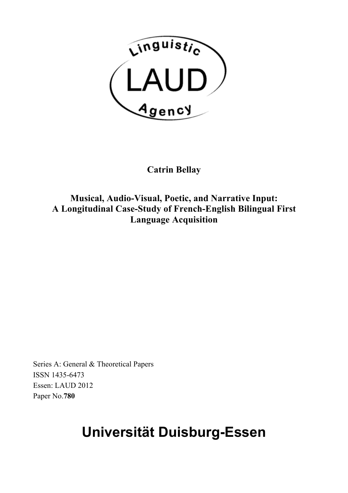

**Catrin Bellay**

# **Musical, Audio-Visual, Poetic, and Narrative Input: A Longitudinal Case-Study of French-English Bilingual First Language Acquisition**

Series A: General & Theoretical Papers ISSN 1435-6473 Essen: LAUD 2012 Paper No.**780**

# **Universität Duisburg-Essen**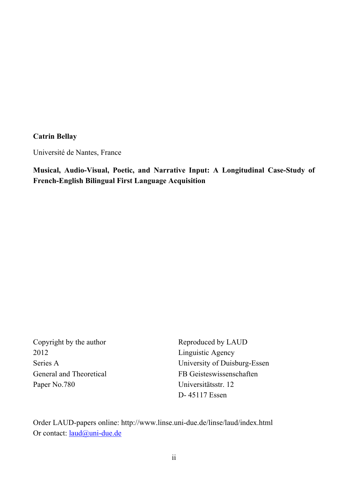# **Catrin Bellay**

Université de Nantes, France

**Musical, Audio-Visual, Poetic, and Narrative Input: A Longitudinal Case-Study of French-English Bilingual First Language Acquisition**

Copyright by the author Reproduced by LAUD 2012 Linguistic Agency Paper No.780 Universitätsstr. 12

Series A University of Duisburg-Essen General and Theoretical FB Geisteswissenschaften D- 45117 Essen

Order LAUD-papers online: http://www.linse.uni-due.de/linse/laud/index.html Or contact: laud@uni-due.de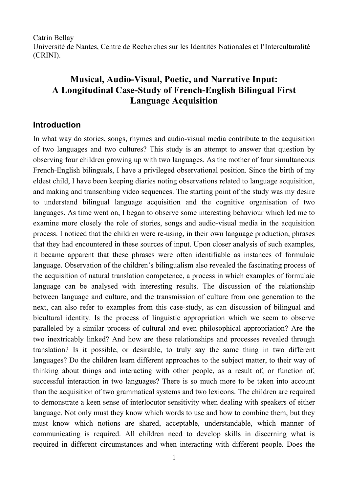Catrin Bellay

Université de Nantes, Centre de Recherches sur les Identités Nationales et l'Interculturalité (CRINI).

# **Musical, Audio-Visual, Poetic, and Narrative Input: A Longitudinal Case-Study of French-English Bilingual First Language Acquisition**

## **Introduction**

In what way do stories, songs, rhymes and audio-visual media contribute to the acquisition of two languages and two cultures? This study is an attempt to answer that question by observing four children growing up with two languages. As the mother of four simultaneous French-English bilinguals, I have a privileged observational position. Since the birth of my eldest child, I have been keeping diaries noting observations related to language acquisition, and making and transcribing video sequences. The starting point of the study was my desire to understand bilingual language acquisition and the cognitive organisation of two languages. As time went on, I began to observe some interesting behaviour which led me to examine more closely the role of stories, songs and audio-visual media in the acquisition process. I noticed that the children were re-using, in their own language production, phrases that they had encountered in these sources of input. Upon closer analysis of such examples, it became apparent that these phrases were often identifiable as instances of formulaic language. Observation of the children's bilingualism also revealed the fascinating process of the acquisition of natural translation competence, a process in which examples of formulaic language can be analysed with interesting results. The discussion of the relationship between language and culture, and the transmission of culture from one generation to the next, can also refer to examples from this case-study, as can discussion of bilingual and bicultural identity. Is the process of linguistic appropriation which we seem to observe paralleled by a similar process of cultural and even philosophical appropriation? Are the two inextricably linked? And how are these relationships and processes revealed through translation? Is it possible, or desirable, to truly say the same thing in two different languages? Do the children learn different approaches to the subject matter, to their way of thinking about things and interacting with other people, as a result of, or function of, successful interaction in two languages? There is so much more to be taken into account than the acquisition of two grammatical systems and two lexicons. The children are required to demonstrate a keen sense of interlocutor sensitivity when dealing with speakers of either language. Not only must they know which words to use and how to combine them, but they must know which notions are shared, acceptable, understandable, which manner of communicating is required. All children need to develop skills in discerning what is required in different circumstances and when interacting with different people. Does the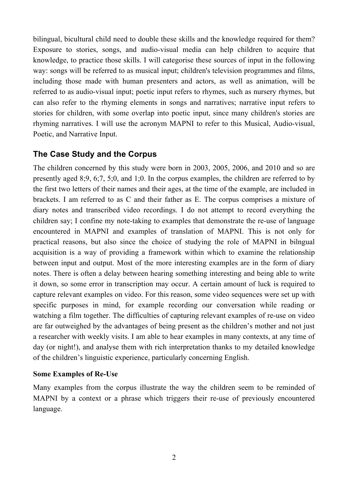bilingual, bicultural child need to double these skills and the knowledge required for them? Exposure to stories, songs, and audio-visual media can help children to acquire that knowledge, to practice those skills. I will categorise these sources of input in the following way: songs will be referred to as musical input; children's television programmes and films, including those made with human presenters and actors, as well as animation, will be referred to as audio-visual input; poetic input refers to rhymes, such as nursery rhymes, but can also refer to the rhyming elements in songs and narratives; narrative input refers to stories for children, with some overlap into poetic input, since many children's stories are rhyming narratives. I will use the acronym MAPNI to refer to this Musical, Audio-visual, Poetic, and Narrative Input.

# **The Case Study and the Corpus**

The children concerned by this study were born in 2003, 2005, 2006, and 2010 and so are presently aged 8;9, 6;7, 5;0, and 1;0. In the corpus examples, the children are referred to by the first two letters of their names and their ages, at the time of the example, are included in brackets. I am referred to as C and their father as E. The corpus comprises a mixture of diary notes and transcribed video recordings. I do not attempt to record everything the children say; I confine my note-taking to examples that demonstrate the re-use of language encountered in MAPNI and examples of translation of MAPNI. This is not only for practical reasons, but also since the choice of studying the role of MAPNI in bilngual acquisition is a way of providing a framework within which to examine the relationship between input and output. Most of the more interesting examples are in the form of diary notes. There is often a delay between hearing something interesting and being able to write it down, so some error in transcription may occur. A certain amount of luck is required to capture relevant examples on video. For this reason, some video sequences were set up with specific purposes in mind, for example recording our conversation while reading or watching a film together. The difficulties of capturing relevant examples of re-use on video are far outweighed by the advantages of being present as the children's mother and not just a researcher with weekly visits. I am able to hear examples in many contexts, at any time of day (or night!), and analyse them with rich interpretation thanks to my detailed knowledge of the children's linguistic experience, particularly concerning English.

#### **Some Examples of Re-Use**

Many examples from the corpus illustrate the way the children seem to be reminded of MAPNI by a context or a phrase which triggers their re-use of previously encountered language.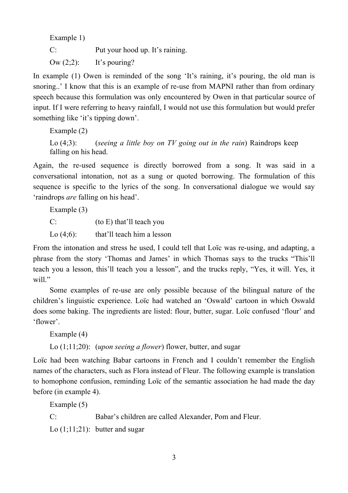Example 1) C: Put your hood up. It's raining. Ow  $(2,2)$ : It's pouring?

In example (1) Owen is reminded of the song 'It's raining, it's pouring, the old man is snoring..' I know that this is an example of re-use from MAPNI rather than from ordinary speech because this formulation was only encountered by Owen in that particular source of input. If I were referring to heavy rainfall, I would not use this formulation but would prefer something like 'it's tipping down'.

Example (2) Lo (4;3): (*seeing a little boy on TV going out in the rain*) Raindrops keep falling on his head.

Again, the re-used sequence is directly borrowed from a song. It was said in a conversational intonation, not as a sung or quoted borrowing. The formulation of this sequence is specific to the lyrics of the song. In conversational dialogue we would say 'raindrops *are* falling on his head'.

Example (3) C: (to E) that'll teach you Lo  $(4:6)$ : that'll teach him a lesson

From the intonation and stress he used, I could tell that Loïc was re-using, and adapting, a phrase from the story 'Thomas and James' in which Thomas says to the trucks "This'll teach you a lesson, this'll teach you a lesson", and the trucks reply, "Yes, it will. Yes, it will."

Some examples of re-use are only possible because of the bilingual nature of the children's linguistic experience. Loïc had watched an 'Oswald' cartoon in which Oswald does some baking. The ingredients are listed: flour, butter, sugar. Loïc confused 'flour' and 'flower'.

Example (4)

Lo (1;11;20): (*upon seeing a flower*) flower, butter, and sugar

Loïc had been watching Babar cartoons in French and I couldn't remember the English names of the characters, such as Flora instead of Fleur. The following example is translation to homophone confusion, reminding Loïc of the semantic association he had made the day before (in example 4).

Example (5)

C: Babar's children are called Alexander, Pom and Fleur.

Lo  $(1;11;21)$ : butter and sugar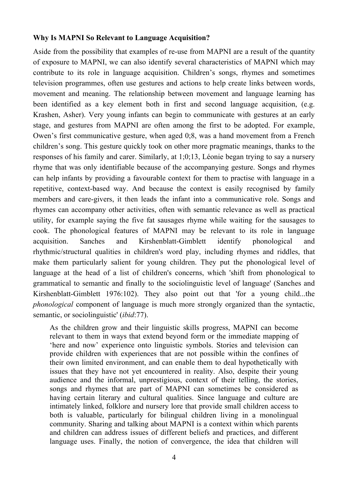#### **Why Is MAPNI So Relevant to Language Acquisition?**

Aside from the possibility that examples of re-use from MAPNI are a result of the quantity of exposure to MAPNI, we can also identify several characteristics of MAPNI which may contribute to its role in language acquisition. Children's songs, rhymes and sometimes television programmes, often use gestures and actions to help create links between words, movement and meaning. The relationship between movement and language learning has been identified as a key element both in first and second language acquisition, (e.g. Krashen, Asher). Very young infants can begin to communicate with gestures at an early stage, and gestures from MAPNI are often among the first to be adopted. For example, Owen's first communicative gesture, when aged 0;8, was a hand movement from a French children's song. This gesture quickly took on other more pragmatic meanings, thanks to the responses of his family and carer. Similarly, at 1;0;13, Léonie began trying to say a nursery rhyme that was only identifiable because of the accompanying gesture. Songs and rhymes can help infants by providing a favourable context for them to practise with language in a repetitive, context-based way. And because the context is easily recognised by family members and care-givers, it then leads the infant into a communicative role. Songs and rhymes can accompany other activities, often with semantic relevance as well as practical utility, for example saying the five fat sausages rhyme while waiting for the sausages to cook. The phonological features of MAPNI may be relevant to its role in language acquisition. Sanches and Kirshenblatt-Gimblett identify phonological and rhythmic/structural qualities in children's word play, including rhymes and riddles, that make them particularly salient for young children. They put the phonological level of language at the head of a list of children's concerns, which 'shift from phonological to grammatical to semantic and finally to the sociolinguistic level of language' (Sanches and Kirshenblatt-Gimblett 1976:102). They also point out that 'for a young child...the *phonological* component of language is much more strongly organized than the syntactic, semantic, or sociolinguistic' (*ibid*:77).

As the children grow and their linguistic skills progress, MAPNI can become relevant to them in ways that extend beyond form or the immediate mapping of 'here and now' experience onto linguistic symbols. Stories and television can provide children with experiences that are not possible within the confines of their own limited environment, and can enable them to deal hypothetically with issues that they have not yet encountered in reality. Also, despite their young audience and the informal, unprestigious, context of their telling, the stories, songs and rhymes that are part of MAPNI can sometimes be considered as having certain literary and cultural qualities. Since language and culture are intimately linked, folklore and nursery lore that provide small children access to both is valuable, particularly for bilingual children living in a monolingual community. Sharing and talking about MAPNI is a context within which parents and children can address issues of different beliefs and practices, and different language uses. Finally, the notion of convergence, the idea that children will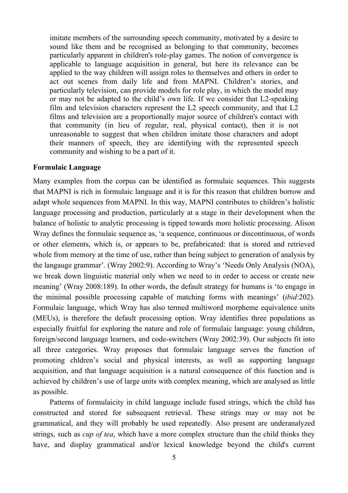imitate members of the surrounding speech community, motivated by a desire to sound like them and be recognised as belonging to that community, becomes particularly apparent in children's role-play games. The notion of convergence is applicable to language acquisition in general, but here its relevance can be applied to the way children will assign roles to themselves and others in order to act out scenes from daily life and from MAPNI. Children's stories, and particularly television, can provide models for role play, in which the model may or may not be adapted to the child's own life. If we consider that L2-speaking film and television characters represent the L2 speech community, and that L2 films and television are a proportionally major source of children's contact with that community (in lieu of regular, real, physical contact), then it is not unreasonable to suggest that when children imitate those characters and adopt their manners of speech, they are identifying with the represented speech community and wishing to be a part of it.

#### **Formulaic Language**

Many examples from the corpus can be identified as formulaic sequences. This suggests that MAPNI is rich in formulaic language and it is for this reason that children borrow and adapt whole sequences from MAPNI. In this way, MAPNI contributes to children's holistic language processing and production, particularly at a stage in their development when the balance of holistic to analytic processing is tipped towards more holistic processing. Alison Wray defines the formulaic sequence as, 'a sequence, continuous or discontinuous, of words or other elements, which is, or appears to be, prefabricated: that is stored and retrieved whole from memory at the time of use, rather than being subject to generation of analysis by the langauge grammar'. (Wray 2002:9). According to Wray's 'Needs Only Analysis (NOA), we break down linguistic material only when we need to in order to access or create new meaning' (Wray 2008:189). In other words, the default strategy for humans is 'to engage in the minimal possible processing capable of matching forms with meanings' (*ibid*:202). Formulaic language, which Wray has also termed multiword morpheme equivalence units (MEUs), is therefore the default processing option. Wray identifies three populations as especially fruitful for exploring the nature and role of formulaic language: young children, foreign/second language learners, and code-switchers (Wray 2002:39). Our subjects fit into all three categories. Wray proposes that formulaic language serves the function of promoting chldren's social and physical interests, as well as supporting language acquisition, and that language acquisition is a natural consequence of this function and is achieved by children's use of large units with complex meaning, which are analysed as little as possible.

Patterns of formulaicity in child language include fused strings, which the child has constructed and stored for subsequent retrieval. These strings may or may not be grammatical, and they will probably be used repeatedly. Also present are underanalyzed strings, such as *cup of tea*, which have a more complex structure than the child thinks they have, and display grammatical and/or lexical knowledge beyond the child's current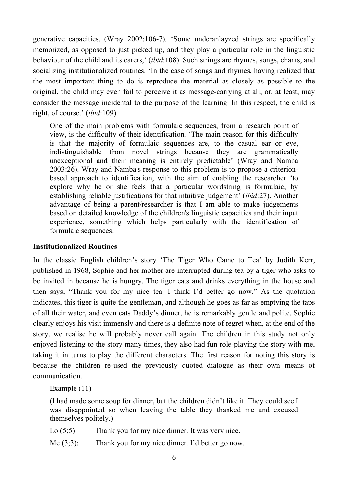generative capacities, (Wray 2002:106-7)*.* 'Some underanlayzed strings are specifically memorized, as opposed to just picked up, and they play a particular role in the linguistic behaviour of the child and its carers,' (*ibid*:108). Such strings are rhymes, songs, chants, and socializing institutionalized routines. 'In the case of songs and rhymes, having realized that the most important thing to do is reproduce the material as closely as possible to the original, the child may even fail to perceive it as message-carrying at all, or, at least, may consider the message incidental to the purpose of the learning. In this respect, the child is right, of course.' (*ibid*:109).

One of the main problems with formulaic sequences, from a research point of view, is the difficulty of their identification. 'The main reason for this difficulty is that the majority of formulaic sequences are, to the casual ear or eye, indistinguishable from novel strings because they are grammatically unexceptional and their meaning is entirely predictable' (Wray and Namba 2003:26). Wray and Namba's response to this problem is to propose a criterionbased approach to identification, with the aim of enabling the researcher 'to explore why he or she feels that a particular wordstring is formulaic, by establishing reliable justifications for that intuitive judgement' (*ibid*:27). Another advantage of being a parent/researcher is that I am able to make judgements based on detailed knowledge of the children's linguistic capacities and their input experience, something which helps particularly with the identification of formulaic sequences.

#### **Institutionalized Routines**

In the classic English children's story 'The Tiger Who Came to Tea' by Judith Kerr, published in 1968, Sophie and her mother are interrupted during tea by a tiger who asks to be invited in because he is hungry. The tiger eats and drinks everything in the house and then says, "Thank you for my nice tea. I think I'd better go now." As the quotation indicates, this tiger is quite the gentleman, and although he goes as far as emptying the taps of all their water, and even eats Daddy's dinner, he is remarkably gentle and polite. Sophie clearly enjoys his visit immensly and there is a definite note of regret when, at the end of the story, we realise he will probably never call again. The children in this study not only enjoyed listening to the story many times, they also had fun role-playing the story with me, taking it in turns to play the different characters. The first reason for noting this story is because the children re-used the previously quoted dialogue as their own means of communication.

Example (11)

(I had made some soup for dinner, but the children didn't like it. They could see I was disappointed so when leaving the table they thanked me and excused themselves politely.)

- Lo  $(5,5)$ : Thank you for my nice dinner. It was very nice.
- Me (3;3): Thank you for my nice dinner. I'd better go now.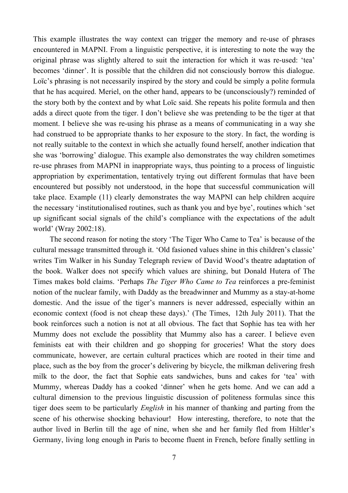This example illustrates the way context can trigger the memory and re-use of phrases encountered in MAPNI. From a linguistic perspective, it is interesting to note the way the original phrase was slightly altered to suit the interaction for which it was re-used: 'tea' becomes 'dinner'. It is possible that the children did not consciously borrow this dialogue. Loïc's phrasing is not necessarily inspired by the story and could be simply a polite formula that he has acquired. Meriel, on the other hand, appears to be (unconsciously?) reminded of the story both by the context and by what Loïc said. She repeats his polite formula and then adds a direct quote from the tiger. I don't believe she was pretending to be the tiger at that moment. I believe she was re-using his phrase as a means of communicating in a way she had construed to be appropriate thanks to her exposure to the story. In fact, the wording is not really suitable to the context in which she actually found herself, another indication that she was 'borrowing' dialogue. This example also demonstrates the way children sometimes re-use phrases from MAPNI in inappropriate ways, thus pointing to a process of linguistic appropriation by experimentation, tentatively trying out different formulas that have been encountered but possibly not understood, in the hope that successful communication will take place. Example (11) clearly demonstrates the way MAPNI can help children acquire the necessary 'institutionalised routines, such as thank you and bye bye', routines which 'set up significant social signals of the child's compliance with the expectations of the adult world' (Wray 2002:18).

The second reason for noting the story 'The Tiger Who Came to Tea' is because of the cultural message transmitted through it. 'Old fasioned values shine in this children's classic' writes Tim Walker in his Sunday Telegraph review of David Wood's theatre adaptation of the book. Walker does not specify which values are shining, but Donald Hutera of The Times makes bold claims. 'Perhaps *The Tiger Who Came to Tea* reinforces a pre-feminist notion of the nuclear family, with Daddy as the breadwinner and Mummy as a stay-at-home domestic. And the issue of the tiger's manners is never addressed, especially within an economic context (food is not cheap these days).' (The Times, 12th July 2011). That the book reinforces such a notion is not at all obvious. The fact that Sophie has tea with her Mummy does not exclude the possiblity that Mummy also has a career. I believe even feminists eat with their children and go shopping for groceries! What the story does communicate, however, are certain cultural practices which are rooted in their time and place, such as the boy from the grocer's delivering by bicycle, the milkman delivering fresh milk to the door, the fact that Sophie eats sandwiches, buns and cakes for 'tea' with Mummy, whereas Daddy has a cooked 'dinner' when he gets home. And we can add a cultural dimension to the previous linguistic discussion of politeness formulas since this tiger does seem to be particularly *English* in his manner of thanking and parting from the scene of his otherwise shocking behaviour! How interesting, therefore, to note that the author lived in Berlin till the age of nine, when she and her family fled from Hiltler's Germany, living long enough in Paris to become fluent in French, before finally settling in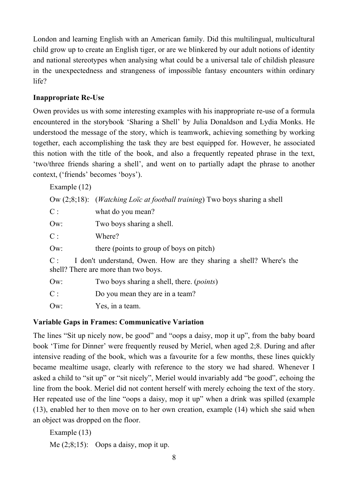London and learning English with an American family. Did this multilingual, multicultural child grow up to create an English tiger, or are we blinkered by our adult notions of identity and national stereotypes when analysing what could be a universal tale of childish pleasure in the unexpectedness and strangeness of impossible fantasy encounters within ordinary life?

#### **Inappropriate Re-Use**

Owen provides us with some interesting examples with his inappropriate re-use of a formula encountered in the storybook 'Sharing a Shell' by Julia Donaldson and Lydia Monks. He understood the message of the story, which is teamwork, achieving something by working together, each accomplishing the task they are best equipped for. However, he associated this notion with the title of the book, and also a frequently repeated phrase in the text, 'two/three friends sharing a shell', and went on to partially adapt the phrase to another context, ('friends' becomes 'boys').

Example (12)

| $\mathrm{C}$ : | what do you mean? |  |
|----------------|-------------------|--|
|----------------|-------------------|--|

Ow: Two boys sharing a shell.

C : Where?

Ow: there (points to group of boys on pitch)

C : I don't understand, Owen. How are they sharing a shell? Where's the shell? There are more than two boys.

| Ow: | Two boys sharing a shell, there. (points) |  |  |
|-----|-------------------------------------------|--|--|
|     |                                           |  |  |

C : Do you mean they are in a team?

Ow: Yes, in a team.

## **Variable Gaps in Frames: Communicative Variation**

The lines "Sit up nicely now, be good" and "oops a daisy, mop it up", from the baby board book 'Time for Dinner' were frequently reused by Meriel, when aged 2;8. During and after intensive reading of the book, which was a favourite for a few months, these lines quickly became mealtime usage, clearly with reference to the story we had shared. Whenever I asked a child to "sit up" or "sit nicely", Meriel would invariably add "be good", echoing the line from the book. Meriel did not content herself with merely echoing the text of the story. Her repeated use of the line "oops a daisy, mop it up" when a drink was spilled (example (13), enabled her to then move on to her own creation, example (14) which she said when an object was dropped on the floor.

Example (13) Me  $(2,8,15)$ : Oops a daisy, mop it up.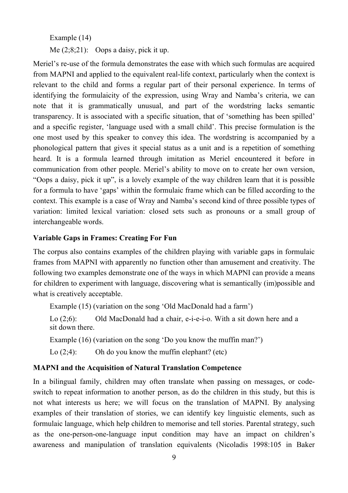Example (14)

Me  $(2,8,21)$ : Oops a daisy, pick it up.

Meriel's re-use of the formula demonstrates the ease with which such formulas are acquired from MAPNI and applied to the equivalent real-life context, particularly when the context is relevant to the child and forms a regular part of their personal experience. In terms of identifying the formulaicity of the expression, using Wray and Namba's criteria, we can note that it is grammatically unusual, and part of the wordstring lacks semantic transparency. It is associated with a specific situation, that of 'something has been spilled' and a specific register, 'language used with a small child'. This precise formulation is the one most used by this speaker to convey this idea. The wordstring is accompanied by a phonological pattern that gives it special status as a unit and is a repetition of something heard. It is a formula learned through imitation as Meriel encountered it before in communication from other people. Meriel's ability to move on to create her own version, "Oops a daisy, pick it up", is a lovely example of the way children learn that it is possible for a formula to have 'gaps' within the formulaic frame which can be filled according to the context. This example is a case of Wray and Namba's second kind of three possible types of variation: limited lexical variation: closed sets such as pronouns or a small group of interchangeable words.

#### **Variable Gaps in Frames: Creating For Fun**

The corpus also contains examples of the children playing with variable gaps in formulaic frames from MAPNI with apparently no function other than amusement and creativity. The following two examples demonstrate one of the ways in which MAPNI can provide a means for children to experiment with language, discovering what is semantically (im)possible and what is creatively acceptable.

Example (15) (variation on the song 'Old MacDonald had a farm')

Lo (2:6): Old MacDonald had a chair, e-i-e-i-o. With a sit down here and a sit down there.

Example (16) (variation on the song 'Do you know the muffin man?')

Lo  $(2,4)$ : Oh do you know the muffin elephant? (etc)

## **MAPNI and the Acquisition of Natural Translation Competence**

In a bilingual family, children may often translate when passing on messages, or codeswitch to repeat information to another person, as do the children in this study, but this is not what interests us here; we will focus on the translation of MAPNI. By analysing examples of their translation of stories, we can identify key linguistic elements, such as formulaic language, which help children to memorise and tell stories. Parental strategy, such as the one-person-one-language input condition may have an impact on children's awareness and manipulation of translation equivalents (Nicoladis 1998:105 in Baker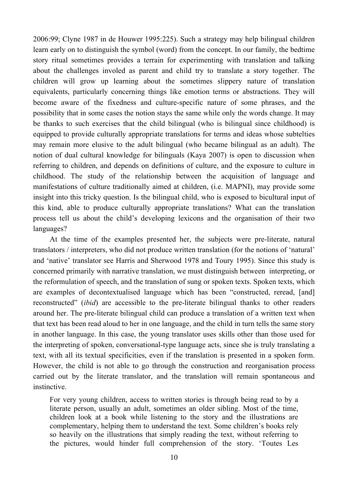2006:99; Clyne 1987 in de Houwer 1995:225). Such a strategy may help bilingual children learn early on to distinguish the symbol (word) from the concept. In our family, the bedtime story ritual sometimes provides a terrain for experimenting with translation and talking about the challenges involed as parent and child try to translate a story together. The children will grow up learning about the sometimes slippery nature of translation equivalents, particularly concerning things like emotion terms or abstractions. They will become aware of the fixedness and culture-specific nature of some phrases, and the possibility that in some cases the notion stays the same while only the words change. It may be thanks to such exercises that the child bilingual (who is bilingual since childhood) is equipped to provide culturally appropriate translations for terms and ideas whose subtelties may remain more elusive to the adult bilingual (who became bilingual as an adult). The notion of dual cultural knowledge for bilinguals (Kaya 2007) is open to discussion when referring to children, and depends on definitions of culture, and the exposure to culture in childhood. The study of the relationship between the acquisition of language and manifestations of culture traditionally aimed at children, (i.e. MAPNI), may provide some insight into this tricky question. Is the bilingual child, who is exposed to bicultural input of this kind, able to produce culturally appropriate translations? What can the translation process tell us about the child's developing lexicons and the organisation of their two languages?

At the time of the examples presented her, the subjects were pre-literate, natural translators / interpreters, who did not produce written translation (for the notions of 'natural' and 'native' translator see Harris and Sherwood 1978 and Toury 1995). Since this study is concerned primarily with narrative translation, we must distinguish between interpreting, or the reformulation of speech, and the translation of sung or spoken texts. Spoken texts, which are examples of decontextualised language which has been "constructed, reread, [and] reconstructed" (*ibid*) are accessible to the pre-literate bilingual thanks to other readers around her. The pre-literate bilingual child can produce a translation of a written text when that text has been read aloud to her in one language, and the child in turn tells the same story in another language. In this case, the young translator uses skills other than those used for the interpreting of spoken, conversational-type language acts, since she is truly translating a text, with all its textual specificities, even if the translation is presented in a spoken form. However, the child is not able to go through the construction and reorganisation process carried out by the literate translator, and the translation will remain spontaneous and instinctive.

For very young children, access to written stories is through being read to by a literate person, usually an adult, sometimes an older sibling. Most of the time, children look at a book while listening to the story and the illustrations are complementary, helping them to understand the text. Some children's books rely so heavily on the illustrations that simply reading the text, without referring to the pictures, would hinder full comprehension of the story. 'Toutes Les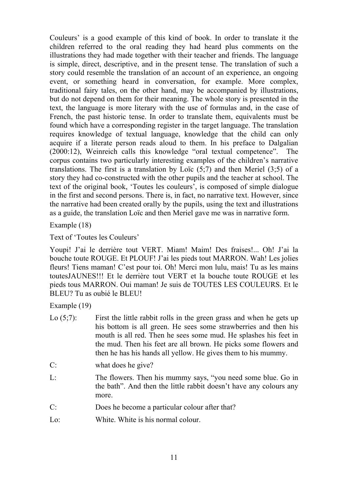Couleurs' is a good example of this kind of book. In order to translate it the children referred to the oral reading they had heard plus comments on the illustrations they had made together with their teacher and friends. The language is simple, direct, descriptive, and in the present tense. The translation of such a story could resemble the translation of an account of an experience, an ongoing event, or something heard in conversation, for example. More complex, traditional fairy tales, on the other hand, may be accompanied by illustrations, but do not depend on them for their meaning. The whole story is presented in the text, the language is more literary with the use of formulas and, in the case of French, the past historic tense. In order to translate them, equivalents must be found which have a corresponding register in the target language. The translation requires knowledge of textual language, knowledge that the child can only acquire if a literate person reads aloud to them. In his preface to Dalgalian (2000:12), Weinreich calls this knowledge "oral textual competence". The corpus contains two particularly interesting examples of the children's narrative translations. The first is a translation by Loïc  $(5,7)$  and then Meriel  $(3,5)$  of a story they had co-constructed with the other pupils and the teacher at school. The text of the original book, 'Toutes les couleurs', is composed of simple dialogue in the first and second persons. There is, in fact, no narrative text. However, since the narrative had been created orally by the pupils, using the text and illustrations as a guide, the translation Loïc and then Meriel gave me was in narrative form.

Example (18)

Text of 'Toutes les Couleurs'

Youpi! J'ai le derrière tout VERT. Miam! Maim! Des fraises!... Oh! J'ai la bouche toute ROUGE. Et PLOUF! J'ai les pieds tout MARRON. Wah! Les jolies fleurs! Tiens maman! C'est pour toi. Oh! Merci mon lulu, mais! Tu as les mains toutesJAUNES!!! Et le derrière tout VERT et la bouche toute ROUGE et les pieds tous MARRON. Oui maman! Je suis de TOUTES LES COULEURS. Et le BLEU? Tu as oubié le BLEU!

Example (19)

- Lo  $(5,7)$ : First the little rabbit rolls in the green grass and when he gets up his bottom is all green. He sees some strawberries and then his mouth is all red. Then he sees some mud. He splashes his feet in the mud. Then his feet are all brown. He picks some flowers and then he has his hands all yellow. He gives them to his mummy.
- C: what does he give?
- L: The flowers. Then his mummy says, "you need some blue. Go in the bath". And then the little rabbit doesn't have any colours any more.
- C: Does he become a particular colour after that?
- Lo: White. White is his normal colour.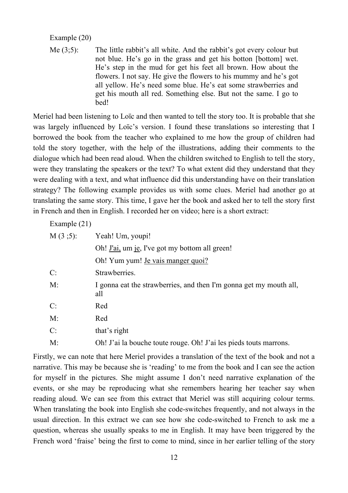#### Example (20)

Me (3;5): The little rabbit's all white. And the rabbit's got every colour but not blue. He's go in the grass and get his botton [bottom] wet. He's step in the mud for get his feet all brown. How about the flowers. I not say. He give the flowers to his mummy and he's got all yellow. He's need some blue. He's eat some strawberries and get his mouth all red. Something else. But not the same. I go to bed!

Meriel had been listening to Loïc and then wanted to tell the story too. It is probable that she was largely influenced by Loïc's version. I found these translations so interesting that I borrowed the book from the teacher who explained to me how the group of children had told the story together, with the help of the illustrations, adding their comments to the dialogue which had been read aloud. When the children switched to English to tell the story, were they translating the speakers or the text? To what extent did they understand that they were dealing with a text, and what influence did this understanding have on their translation strategy? The following example provides us with some clues. Meriel had another go at translating the same story. This time, I gave her the book and asked her to tell the story first in French and then in English. I recorded her on video; here is a short extract:

Example (21)

| $M(3;5)$ : | Yeah! Um, youpi!                                                          |  |  |  |
|------------|---------------------------------------------------------------------------|--|--|--|
|            | Oh! J'ai, um je, I've got my bottom all green!                            |  |  |  |
|            | Oh! Yum yum! Je vais manger quoi?                                         |  |  |  |
| C:         | Strawberries.                                                             |  |  |  |
| M:         | I gonna eat the strawberries, and then I'm gonna get my mouth all,<br>all |  |  |  |
| C:         | Red                                                                       |  |  |  |
| M:         | Red                                                                       |  |  |  |
| C:         | that's right                                                              |  |  |  |
| M:         | Oh! J'ai la bouche toute rouge. Oh! J'ai les pieds touts marrons.         |  |  |  |

Firstly, we can note that here Meriel provides a translation of the text of the book and not a narrative. This may be because she is 'reading' to me from the book and I can see the action for myself in the pictures. She might assume I don't need narrative explanation of the events, or she may be reproducing what she remembers hearing her teacher say when reading aloud. We can see from this extract that Meriel was still acquiring colour terms. When translating the book into English she code-switches frequently, and not always in the usual direction. In this extract we can see how she code-switched to French to ask me a question, whereas she usually speaks to me in English. It may have been triggered by the French word 'fraise' being the first to come to mind, since in her earlier telling of the story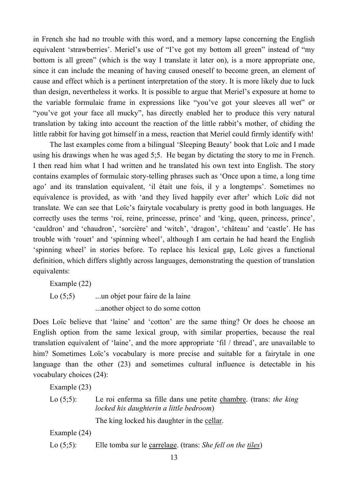in French she had no trouble with this word, and a memory lapse concerning the English equivalent 'strawberries'. Meriel's use of "I've got my bottom all green" instead of "my bottom is all green" (which is the way I translate it later on), is a more appropriate one, since it can include the meaning of having caused oneself to become green, an element of cause and effect which is a pertinent interpretation of the story. It is more likely due to luck than design, nevertheless it works. It is possible to argue that Meriel's exposure at home to the variable formulaic frame in expressions like "you've got your sleeves all wet" or "you've got your face all mucky", has directly enabled her to produce this very natural translation by taking into account the reaction of the little rabbit's mother, of chiding the little rabbit for having got himself in a mess, reaction that Meriel could firmly identify with!

The last examples come from a bilingual 'Sleeping Beauty' book that Loïc and I made using his drawings when he was aged 5;5. He began by dictating the story to me in French. I then read him what I had written and he translated his own text into English. The story contains examples of formulaic story-telling phrases such as 'Once upon a time, a long time ago' and its translation equivalent, 'il était une fois, il y a longtemps'. Sometimes no equivalence is provided, as with 'and they lived happily ever after' which Loïc did not translate. We can see that Loïc's fairytale vocabulary is pretty good in both languages. He correctly uses the terms 'roi, reine, princesse, prince' and 'king, queen, princess, prince', 'cauldron' and 'chaudron', 'sorcière' and 'witch', 'dragon', 'château' and 'castle'. He has trouble with 'rouet' and 'spinning wheel', although I am certain he had heard the English 'spinning wheel' in stories before. To replace his lexical gap, Loïc gives a functional definition, which differs slightly across languages, demonstrating the question of translation equivalents:

Example (22) Lo (5;5) ...un objet pour faire de la laine ...another object to do some cotton

Does Loïc believe that 'laine' and 'cotton' are the same thing? Or does he choose an English option from the same lexical group, with similar properties, because the real translation equivalent of 'laine', and the more appropriate 'fil / thread', are unavailable to him? Sometimes Loïc's vocabulary is more precise and suitable for a fairytale in one language than the other (23) and sometimes cultural influence is detectable in his vocabulary choices (24):

Example (23)

Lo (5;5): Le roi enferma sa fille dans une petite chambre. (trans: *the king locked his daughterin a little bedroom*)

The king locked his daughter in the cellar.

Example (24)

Lo (5;5): Elle tomba sur le carrelage. (trans: *She fell on the tiles*)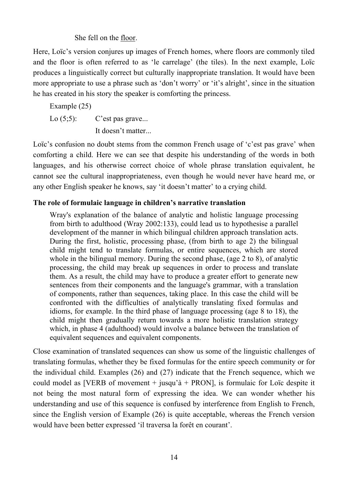She fell on the floor.

Here, Loïc's version conjures up images of French homes, where floors are commonly tiled and the floor is often referred to as 'le carrelage' (the tiles). In the next example, Loïc produces a linguistically correct but culturally inappropriate translation. It would have been more appropriate to use a phrase such as 'don't worry' or 'it's alright', since in the situation he has created in his story the speaker is comforting the princess.

Example (25) Lo  $(5,5)$ : C'est pas grave... It doesn't matter...

Loïc's confusion no doubt stems from the common French usage of 'c'est pas grave' when comforting a child. Here we can see that despite his understanding of the words in both languages, and his otherwise correct choice of whole phrase translation equivalent, he cannot see the cultural inappropriateness, even though he would never have heard me, or any other English speaker he knows, say 'it doesn't matter' to a crying child.

#### **The role of formulaic language in children's narrative translation**

Wray's explanation of the balance of analytic and holistic language processing from birth to adulthood (Wray 2002:133), could lead us to hypothesise a parallel development of the manner in which bilingual children approach translation acts. During the first, holistic, processing phase, (from birth to age 2) the bilingual child might tend to translate formulas, or entire sequences, which are stored whole in the bilingual memory. During the second phase, (age 2 to 8), of analytic processing, the child may break up sequences in order to process and translate them. As a result, the child may have to produce a greater effort to generate new sentences from their components and the language's grammar, with a translation of components, rather than sequences, taking place. In this case the child will be confronted with the difficulties of analytically translating fixed formulas and idioms, for example. In the third phase of language processing (age 8 to 18), the child might then gradually return towards a more holistic translation strategy which, in phase 4 (adulthood) would involve a balance between the translation of equivalent sequences and equivalent components.

Close examination of translated sequences can show us some of the linguistic challenges of translating formulas, whether they be fixed formulas for the entire speech community or for the individual child. Examples (26) and (27) indicate that the French sequence, which we could model as [VERB of movement + jusqu'à + PRON], is formulaic for Loïc despite it not being the most natural form of expressing the idea. We can wonder whether his understanding and use of this sequence is confused by interference from English to French, since the English version of Example (26) is quite acceptable, whereas the French version would have been better expressed 'il traversa la forêt en courant'.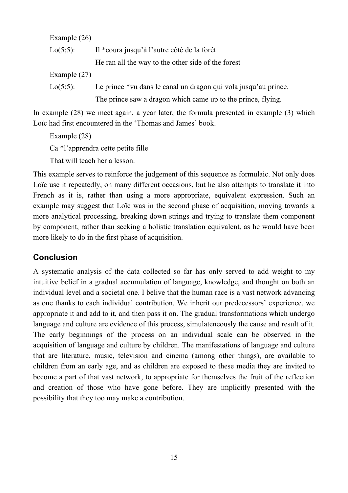Example (26) Lo(5;5): Il \*coura jusqu'à l'autre côté de la forêt He ran all the way to the other side of the forest Example (27) Lo(5:5): Le prince \*vu dans le canal un dragon qui vola jusqu'au prince. The prince saw a dragon which came up to the prince, flying.

In example (28) we meet again, a year later, the formula presented in example (3) which Loïc had first encountered in the 'Thomas and James' book.

Example (28) Ca \*l'apprendra cette petite fille That will teach her a lesson.

This example serves to reinforce the judgement of this sequence as formulaic. Not only does Loïc use it repeatedly, on many different occasions, but he also attempts to translate it into French as it is, rather than using a more appropriate, equivalent expression. Such an example may suggest that Loïc was in the second phase of acquisition, moving towards a more analytical processing, breaking down strings and trying to translate them component by component, rather than seeking a holistic translation equivalent, as he would have been more likely to do in the first phase of acquisition.

# **Conclusion**

A systematic analysis of the data collected so far has only served to add weight to my intuitive belief in a gradual accumulation of language, knowledge, and thought on both an individual level and a societal one. I belive that the human race is a vast network advancing as one thanks to each individual contribution. We inherit our predecessors' experience, we appropriate it and add to it, and then pass it on. The gradual transformations which undergo language and culture are evidence of this process, simulateneously the cause and result of it. The early beginnings of the process on an individual scale can be observed in the acquisition of language and culture by children. The manifestations of language and culture that are literature, music, television and cinema (among other things), are available to children from an early age, and as children are exposed to these media they are invited to become a part of that vast network, to appropriate for themselves the fruit of the reflection and creation of those who have gone before. They are implicitly presented with the possibility that they too may make a contribution.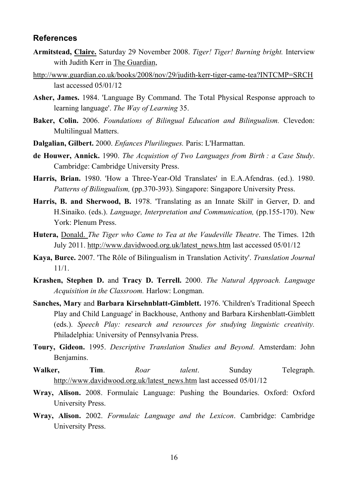#### **References**

- **Armitstead, Claire.** Saturday 29 November 2008. *Tiger! Tiger! Burning bright.* Interview with Judith Kerr in The Guardian,
- http://www.guardian.co.uk/books/2008/nov/29/judith-kerr-tiger-came-tea?INTCMP=SRCH last accessed 05/01/12
- **Asher, James.** 1984. 'Language By Command. The Total Physical Response approach to learning language'. *The Way of Learning* 35.
- **Baker, Colin.** 2006. *Foundations of Bilingual Education and Bilingualism.* Clevedon: Multilingual Matters.
- **Dalgalian, Gilbert.** 2000. *Enfances Plurilingues.* Paris: L'Harmattan.
- **de Houwer, Annick.** 1990. *The Acquistion of Two Languages from Birth : a Case Study*. Cambridge: Cambridge University Press.
- **Harris, Brian.** 1980. 'How a Three-Year-Old Translates' in E.A.Afendras. (ed.). 1980. *Patterns of Bilingualism,* (pp.370-393). Singapore: Singapore University Press.
- **Harris, B. and Sherwood, B.** 1978. 'Translating as an Innate Skill' in Gerver, D. and H.Sinaiko. (eds.). *Language, Interpretation and Communication,* (pp.155-170). New York: Plenum Press.
- **Hutera,** Donald. *The Tiger who Came to Tea at the Vaudeville Theatre*. The Times. 12th July 2011. http://www.davidwood.org.uk/latest\_news.htm last accessed 05/01/12
- **Kaya, Burce.** 2007. 'The Rôle of Bilingualism in Translation Activity'. *Translation Journal* 11/1.
- **Krashen, Stephen D.** and **Tracy D. Terrell.** 2000. *The Natural Approach. Language Acquisition in the Classroom.* Harlow: Longman.
- **Sanches, Mary** and **Barbara Kirsehnblatt-Gimblett.** 1976. 'Children's Traditional Speech Play and Child Language' in Backhouse, Anthony and Barbara Kirshenblatt-Gimblett (eds.). *Speech Play: research and resources for studying linguistic creativity.* Philadelphia: University of Pennsylvania Press.
- **Toury, Gideon.** 1995. *Descriptive Translation Studies and Beyond*. Amsterdam: John Benjamins.
- **Walker, Tim**. *Roar talent*. Sunday Telegraph. http://www.davidwood.org.uk/latest\_news.htm last accessed 05/01/12
- **Wray, Alison.** 2008. Formulaic Language: Pushing the Boundaries. Oxford: Oxford University Press.
- **Wray, Alison.** 2002. *Formulaic Language and the Lexicon*. Cambridge: Cambridge University Press.